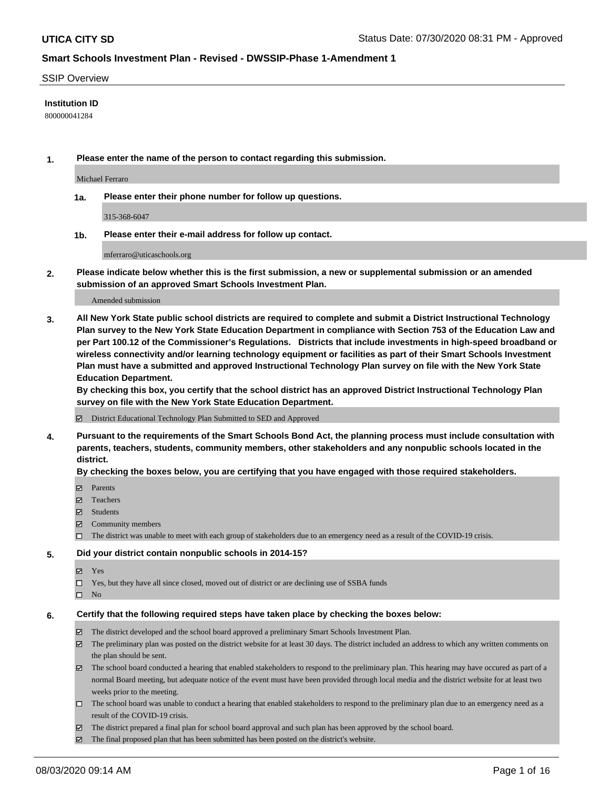#### SSIP Overview

#### **Institution ID**

800000041284

**1. Please enter the name of the person to contact regarding this submission.**

Michael Ferraro

**1a. Please enter their phone number for follow up questions.**

315-368-6047

**1b. Please enter their e-mail address for follow up contact.**

mferraro@uticaschools.org

**2. Please indicate below whether this is the first submission, a new or supplemental submission or an amended submission of an approved Smart Schools Investment Plan.**

#### Amended submission

**3. All New York State public school districts are required to complete and submit a District Instructional Technology Plan survey to the New York State Education Department in compliance with Section 753 of the Education Law and per Part 100.12 of the Commissioner's Regulations. Districts that include investments in high-speed broadband or wireless connectivity and/or learning technology equipment or facilities as part of their Smart Schools Investment Plan must have a submitted and approved Instructional Technology Plan survey on file with the New York State Education Department.** 

**By checking this box, you certify that the school district has an approved District Instructional Technology Plan survey on file with the New York State Education Department.**

District Educational Technology Plan Submitted to SED and Approved

**4. Pursuant to the requirements of the Smart Schools Bond Act, the planning process must include consultation with parents, teachers, students, community members, other stakeholders and any nonpublic schools located in the district.** 

#### **By checking the boxes below, you are certifying that you have engaged with those required stakeholders.**

- **Ø** Parents
- Teachers
- Students
- $\boxtimes$  Community members
- The district was unable to meet with each group of stakeholders due to an emergency need as a result of the COVID-19 crisis.

#### **5. Did your district contain nonpublic schools in 2014-15?**

- **冈** Yes
- Yes, but they have all since closed, moved out of district or are declining use of SSBA funds
- $\square$  No

#### **6. Certify that the following required steps have taken place by checking the boxes below:**

- The district developed and the school board approved a preliminary Smart Schools Investment Plan.
- $\boxtimes$  The preliminary plan was posted on the district website for at least 30 days. The district included an address to which any written comments on the plan should be sent.
- The school board conducted a hearing that enabled stakeholders to respond to the preliminary plan. This hearing may have occured as part of a normal Board meeting, but adequate notice of the event must have been provided through local media and the district website for at least two weeks prior to the meeting.
- The school board was unable to conduct a hearing that enabled stakeholders to respond to the preliminary plan due to an emergency need as a result of the COVID-19 crisis.
- The district prepared a final plan for school board approval and such plan has been approved by the school board.
- $\boxtimes$  The final proposed plan that has been submitted has been posted on the district's website.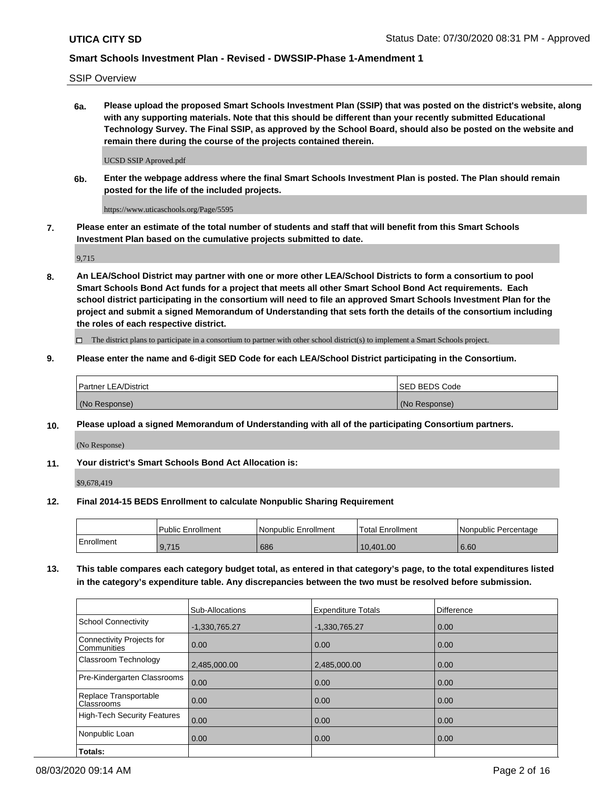SSIP Overview

**6a. Please upload the proposed Smart Schools Investment Plan (SSIP) that was posted on the district's website, along with any supporting materials. Note that this should be different than your recently submitted Educational Technology Survey. The Final SSIP, as approved by the School Board, should also be posted on the website and remain there during the course of the projects contained therein.**

UCSD SSIP Aproved.pdf

**6b. Enter the webpage address where the final Smart Schools Investment Plan is posted. The Plan should remain posted for the life of the included projects.**

https://www.uticaschools.org/Page/5595

**7. Please enter an estimate of the total number of students and staff that will benefit from this Smart Schools Investment Plan based on the cumulative projects submitted to date.**

9,715

**8. An LEA/School District may partner with one or more other LEA/School Districts to form a consortium to pool Smart Schools Bond Act funds for a project that meets all other Smart School Bond Act requirements. Each school district participating in the consortium will need to file an approved Smart Schools Investment Plan for the project and submit a signed Memorandum of Understanding that sets forth the details of the consortium including the roles of each respective district.**

 $\Box$  The district plans to participate in a consortium to partner with other school district(s) to implement a Smart Schools project.

#### **9. Please enter the name and 6-digit SED Code for each LEA/School District participating in the Consortium.**

| Partner LEA/District | <b>ISED BEDS Code</b> |
|----------------------|-----------------------|
| (No Response)        | (No Response)         |

### **10. Please upload a signed Memorandum of Understanding with all of the participating Consortium partners.**

(No Response)

**11. Your district's Smart Schools Bond Act Allocation is:**

\$9,678,419

#### **12. Final 2014-15 BEDS Enrollment to calculate Nonpublic Sharing Requirement**

|            | Public Enrollment | Nonpublic Enrollment | Total Enrollment | I Nonpublic Percentage |
|------------|-------------------|----------------------|------------------|------------------------|
| Enrollment | 9,715             | 686                  | 10,401.00        | 6.60                   |

**13. This table compares each category budget total, as entered in that category's page, to the total expenditures listed in the category's expenditure table. Any discrepancies between the two must be resolved before submission.**

|                                          | Sub-Allocations | <b>Expenditure Totals</b> | <b>Difference</b> |
|------------------------------------------|-----------------|---------------------------|-------------------|
| <b>School Connectivity</b>               | $-1,330,765.27$ | $-1,330,765.27$           | 0.00              |
| Connectivity Projects for<br>Communities | 0.00            | 0.00                      | 0.00              |
| Classroom Technology                     | 2,485,000.00    | 2,485,000.00              | 0.00              |
| Pre-Kindergarten Classrooms              | 0.00            | 0.00                      | 0.00              |
| Replace Transportable<br>Classrooms      | 0.00            | 0.00                      | 0.00              |
| <b>High-Tech Security Features</b>       | 0.00            | 0.00                      | 0.00              |
| Nonpublic Loan                           | 0.00            | 0.00                      | 0.00              |
| Totals:                                  |                 |                           |                   |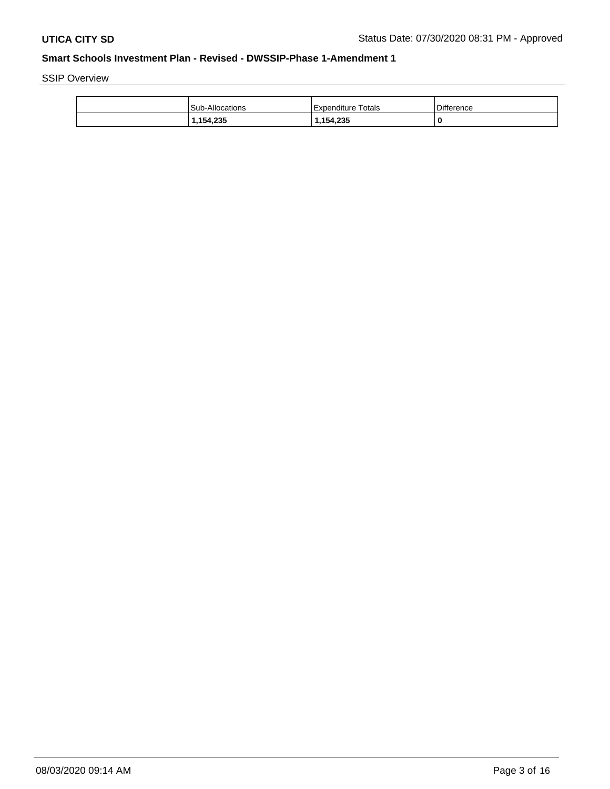SSIP Overview

| <b>Sub-Allocations</b> | l Expenditure Totals | <b>Difference</b> |
|------------------------|----------------------|-------------------|
| 1,154,235              | 1,154,235            |                   |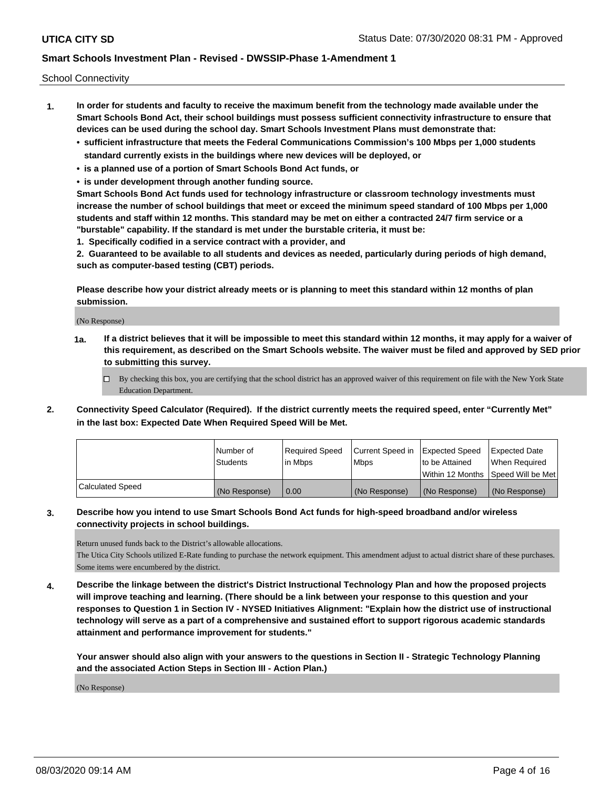School Connectivity

- **1. In order for students and faculty to receive the maximum benefit from the technology made available under the Smart Schools Bond Act, their school buildings must possess sufficient connectivity infrastructure to ensure that devices can be used during the school day. Smart Schools Investment Plans must demonstrate that:**
	- **• sufficient infrastructure that meets the Federal Communications Commission's 100 Mbps per 1,000 students standard currently exists in the buildings where new devices will be deployed, or**
	- **• is a planned use of a portion of Smart Schools Bond Act funds, or**
	- **• is under development through another funding source.**

**Smart Schools Bond Act funds used for technology infrastructure or classroom technology investments must increase the number of school buildings that meet or exceed the minimum speed standard of 100 Mbps per 1,000 students and staff within 12 months. This standard may be met on either a contracted 24/7 firm service or a "burstable" capability. If the standard is met under the burstable criteria, it must be:**

**1. Specifically codified in a service contract with a provider, and**

**2. Guaranteed to be available to all students and devices as needed, particularly during periods of high demand, such as computer-based testing (CBT) periods.**

**Please describe how your district already meets or is planning to meet this standard within 12 months of plan submission.**

(No Response)

**1a. If a district believes that it will be impossible to meet this standard within 12 months, it may apply for a waiver of this requirement, as described on the Smart Schools website. The waiver must be filed and approved by SED prior to submitting this survey.**

 $\Box$  By checking this box, you are certifying that the school district has an approved waiver of this requirement on file with the New York State Education Department.

**2. Connectivity Speed Calculator (Required). If the district currently meets the required speed, enter "Currently Met" in the last box: Expected Date When Required Speed Will be Met.**

|                  | l Number of     | Reauired Speed | Current Speed in | Expected Speed  | <b>Expected Date</b>                |
|------------------|-----------------|----------------|------------------|-----------------|-------------------------------------|
|                  | <b>Students</b> | l in Mbps      | <b>Mbps</b>      | Ito be Attained | When Required                       |
|                  |                 |                |                  |                 | Within 12 Months  Speed Will be Met |
| Calculated Speed | (No Response)   | 0.00           | (No Response)    | (No Response)   | (No Response)                       |

### **3. Describe how you intend to use Smart Schools Bond Act funds for high-speed broadband and/or wireless connectivity projects in school buildings.**

Return unused funds back to the District's allowable allocations.

The Utica City Schools utilized E-Rate funding to purchase the network equipment. This amendment adjust to actual district share of these purchases. Some items were encumbered by the district.

**4. Describe the linkage between the district's District Instructional Technology Plan and how the proposed projects will improve teaching and learning. (There should be a link between your response to this question and your responses to Question 1 in Section IV - NYSED Initiatives Alignment: "Explain how the district use of instructional technology will serve as a part of a comprehensive and sustained effort to support rigorous academic standards attainment and performance improvement for students."** 

**Your answer should also align with your answers to the questions in Section II - Strategic Technology Planning and the associated Action Steps in Section III - Action Plan.)**

(No Response)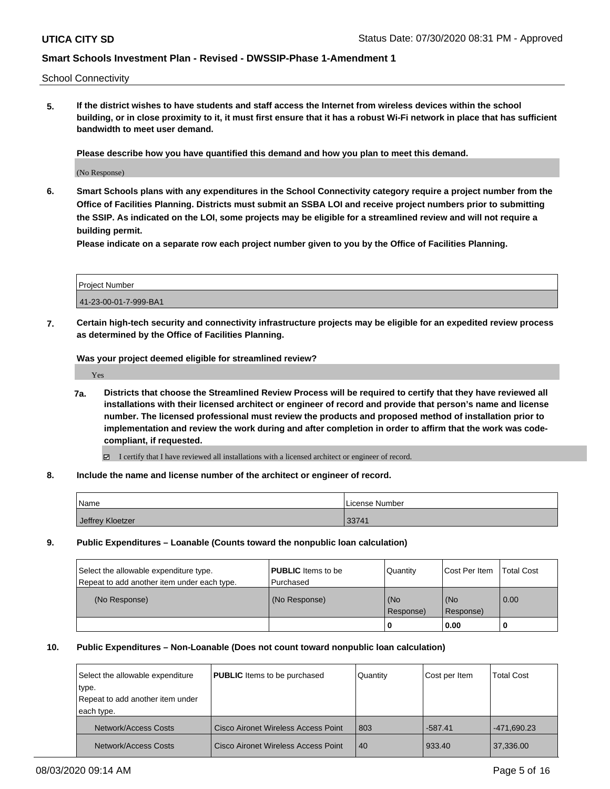School Connectivity

**5. If the district wishes to have students and staff access the Internet from wireless devices within the school building, or in close proximity to it, it must first ensure that it has a robust Wi-Fi network in place that has sufficient bandwidth to meet user demand.**

**Please describe how you have quantified this demand and how you plan to meet this demand.**

(No Response)

**6. Smart Schools plans with any expenditures in the School Connectivity category require a project number from the Office of Facilities Planning. Districts must submit an SSBA LOI and receive project numbers prior to submitting the SSIP. As indicated on the LOI, some projects may be eligible for a streamlined review and will not require a building permit.**

**Please indicate on a separate row each project number given to you by the Office of Facilities Planning.**

| Project Number        |  |
|-----------------------|--|
| 41-23-00-01-7-999-BA1 |  |

**7. Certain high-tech security and connectivity infrastructure projects may be eligible for an expedited review process as determined by the Office of Facilities Planning.**

**Was your project deemed eligible for streamlined review?**

Yes

- **7a. Districts that choose the Streamlined Review Process will be required to certify that they have reviewed all installations with their licensed architect or engineer of record and provide that person's name and license number. The licensed professional must review the products and proposed method of installation prior to implementation and review the work during and after completion in order to affirm that the work was codecompliant, if requested.**
	- I certify that I have reviewed all installations with a licensed architect or engineer of record.
- **8. Include the name and license number of the architect or engineer of record.**

| Name             | License Number |
|------------------|----------------|
| Jeffrey Kloetzer | 33741          |

**9. Public Expenditures – Loanable (Counts toward the nonpublic loan calculation)**

| Select the allowable expenditure type.      | <b>PUBLIC</b> Items to be | <b>Quantity</b>      | Cost Per Item    | <b>Total Cost</b> |
|---------------------------------------------|---------------------------|----------------------|------------------|-------------------|
| Repeat to add another item under each type. | l Purchased               |                      |                  |                   |
| (No Response)                               | (No Response)             | l (No<br>  Response) | (No<br>Response) | 0.00              |
|                                             |                           |                      | 0.00             |                   |

#### **10. Public Expenditures – Non-Loanable (Does not count toward nonpublic loan calculation)**

| Select the allowable expenditure<br>type.      | <b>PUBLIC</b> Items to be purchased        | Quantity | Cost per Item | <b>Total Cost</b> |
|------------------------------------------------|--------------------------------------------|----------|---------------|-------------------|
| Repeat to add another item under<br>each type. |                                            |          |               |                   |
| Network/Access Costs                           | <b>Cisco Aironet Wireless Access Point</b> | 803      | $-587.41$     | -471,690.23       |
| Network/Access Costs                           | Cisco Aironet Wireless Access Point        | 40       | 933.40        | 37,336.00         |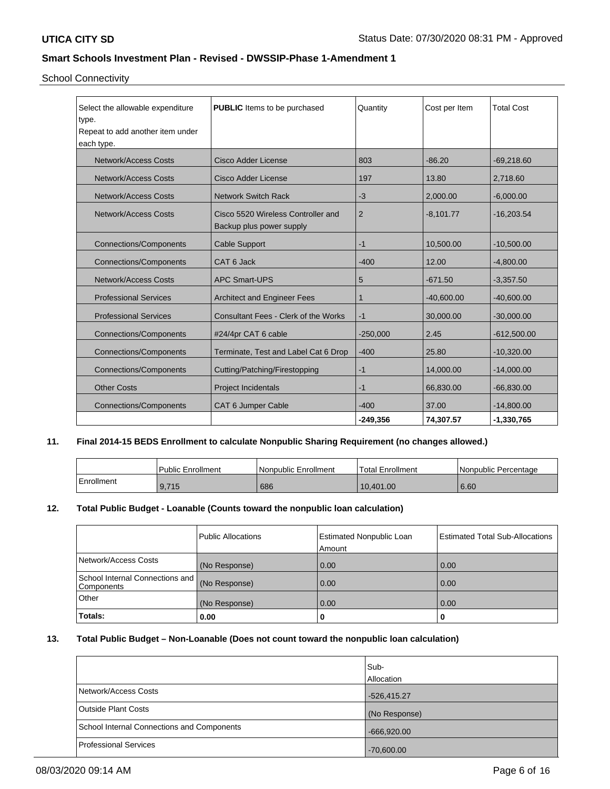School Connectivity

| Select the allowable expenditure<br>type.<br>Repeat to add another item under<br>each type. | <b>PUBLIC</b> Items to be purchased                            | Quantity   | Cost per Item | <b>Total Cost</b> |
|---------------------------------------------------------------------------------------------|----------------------------------------------------------------|------------|---------------|-------------------|
| Network/Access Costs                                                                        | Cisco Adder License                                            | 803        | $-86.20$      | $-69,218.60$      |
| <b>Network/Access Costs</b>                                                                 | Cisco Adder License                                            | 197        | 13.80         | 2,718.60          |
| Network/Access Costs                                                                        | <b>Network Switch Rack</b>                                     | -3         | 2,000.00      | $-6,000.00$       |
| <b>Network/Access Costs</b>                                                                 | Cisco 5520 Wireless Controller and<br>Backup plus power supply | 2          | $-8,101.77$   | $-16,203.54$      |
| <b>Connections/Components</b>                                                               | <b>Cable Support</b>                                           | $-1$       | 10,500.00     | $-10,500.00$      |
| <b>Connections/Components</b>                                                               | CAT 6 Jack                                                     | $-400$     | 12.00         | $-4,800.00$       |
| <b>Network/Access Costs</b>                                                                 | <b>APC Smart-UPS</b>                                           | 5          | $-671.50$     | $-3,357.50$       |
| <b>Professional Services</b>                                                                | <b>Architect and Engineer Fees</b>                             | 1          | $-40,600.00$  | $-40,600.00$      |
| <b>Professional Services</b>                                                                | <b>Consultant Fees - Clerk of the Works</b>                    | $-1$       | 30,000.00     | $-30,000.00$      |
| <b>Connections/Components</b>                                                               | #24/4pr CAT 6 cable                                            | $-250,000$ | 2.45          | $-612,500.00$     |
| <b>Connections/Components</b>                                                               | Terminate, Test and Label Cat 6 Drop                           | $-400$     | 25.80         | $-10,320.00$      |
| <b>Connections/Components</b>                                                               | Cutting/Patching/Firestopping                                  | $-1$       | 14,000.00     | $-14,000.00$      |
| <b>Other Costs</b>                                                                          | Project Incidentals                                            | $-1$       | 66,830.00     | $-66,830.00$      |
| <b>Connections/Components</b>                                                               | CAT 6 Jumper Cable                                             | $-400$     | 37.00         | $-14,800.00$      |
|                                                                                             |                                                                | -249,356   | 74,307.57     | $-1,330,765$      |

# **11. Final 2014-15 BEDS Enrollment to calculate Nonpublic Sharing Requirement (no changes allowed.)**

|            | <b>Public Enrollment</b> | Nonpublic Enrollment | Total Enrollment | I Nonpublic Percentage |
|------------|--------------------------|----------------------|------------------|------------------------|
| Enrollment | 9,715                    | 686                  | 10.401.00        | 6.60                   |

## **12. Total Public Budget - Loanable (Counts toward the nonpublic loan calculation)**

|                                                 | Public Allocations | <b>Estimated Nonpublic Loan</b><br>l Amount | <b>Estimated Total Sub-Allocations</b> |
|-------------------------------------------------|--------------------|---------------------------------------------|----------------------------------------|
| Network/Access Costs                            | (No Response)      | 0.00                                        | 0.00                                   |
| School Internal Connections and<br>l Components | (No Response)      | 0.00                                        | 0.00                                   |
| <b>Other</b>                                    | (No Response)      | 0.00                                        | 0.00                                   |
| Totals:                                         | 0.00               | 0                                           | 0                                      |

### **13. Total Public Budget – Non-Loanable (Does not count toward the nonpublic loan calculation)**

|                                            | Sub-<br>Allocation |
|--------------------------------------------|--------------------|
| Network/Access Costs                       | $-526,415.27$      |
| <b>Outside Plant Costs</b>                 | (No Response)      |
| School Internal Connections and Components | $-666,920.00$      |
| <b>Professional Services</b>               | $-70,600.00$       |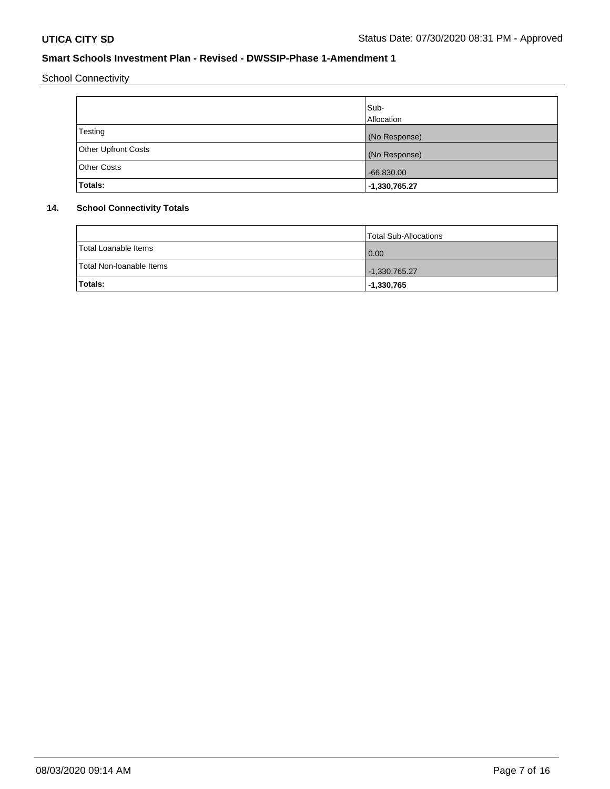School Connectivity

|                            | Sub-            |
|----------------------------|-----------------|
|                            | Allocation      |
| Testing                    | (No Response)   |
| <b>Other Upfront Costs</b> | (No Response)   |
| <b>Other Costs</b>         | $-66,830.00$    |
| Totals:                    | $-1,330,765.27$ |

# **14. School Connectivity Totals**

|                          | <b>Total Sub-Allocations</b> |
|--------------------------|------------------------------|
| Total Loanable Items     | $\overline{0.00}$            |
| Total Non-Ioanable Items | $-1,330,765.27$              |
| Totals:                  | $-1,330,765$                 |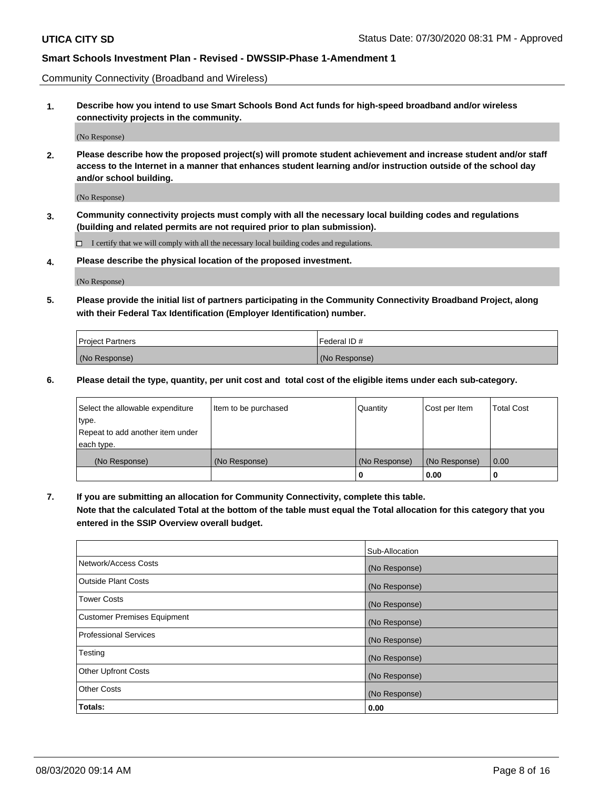Community Connectivity (Broadband and Wireless)

**1. Describe how you intend to use Smart Schools Bond Act funds for high-speed broadband and/or wireless connectivity projects in the community.**

(No Response)

**2. Please describe how the proposed project(s) will promote student achievement and increase student and/or staff access to the Internet in a manner that enhances student learning and/or instruction outside of the school day and/or school building.**

(No Response)

**3. Community connectivity projects must comply with all the necessary local building codes and regulations (building and related permits are not required prior to plan submission).**

 $\Box$  I certify that we will comply with all the necessary local building codes and regulations.

**4. Please describe the physical location of the proposed investment.**

(No Response)

**5. Please provide the initial list of partners participating in the Community Connectivity Broadband Project, along with their Federal Tax Identification (Employer Identification) number.**

| <b>Project Partners</b> | l Federal ID # |
|-------------------------|----------------|
| (No Response)           | (No Response)  |

**6. Please detail the type, quantity, per unit cost and total cost of the eligible items under each sub-category.**

| Select the allowable expenditure | Item to be purchased | Quantity      | Cost per Item | <b>Total Cost</b> |
|----------------------------------|----------------------|---------------|---------------|-------------------|
| type.                            |                      |               |               |                   |
| Repeat to add another item under |                      |               |               |                   |
| each type.                       |                      |               |               |                   |
| (No Response)                    | (No Response)        | (No Response) | (No Response) | 0.00              |
|                                  |                      | o             | 0.00          |                   |

**7. If you are submitting an allocation for Community Connectivity, complete this table.**

**Note that the calculated Total at the bottom of the table must equal the Total allocation for this category that you entered in the SSIP Overview overall budget.**

|                                    | Sub-Allocation |
|------------------------------------|----------------|
| Network/Access Costs               | (No Response)  |
| Outside Plant Costs                | (No Response)  |
| <b>Tower Costs</b>                 | (No Response)  |
| <b>Customer Premises Equipment</b> | (No Response)  |
| <b>Professional Services</b>       | (No Response)  |
| Testing                            | (No Response)  |
| <b>Other Upfront Costs</b>         | (No Response)  |
| <b>Other Costs</b>                 | (No Response)  |
| Totals:                            | 0.00           |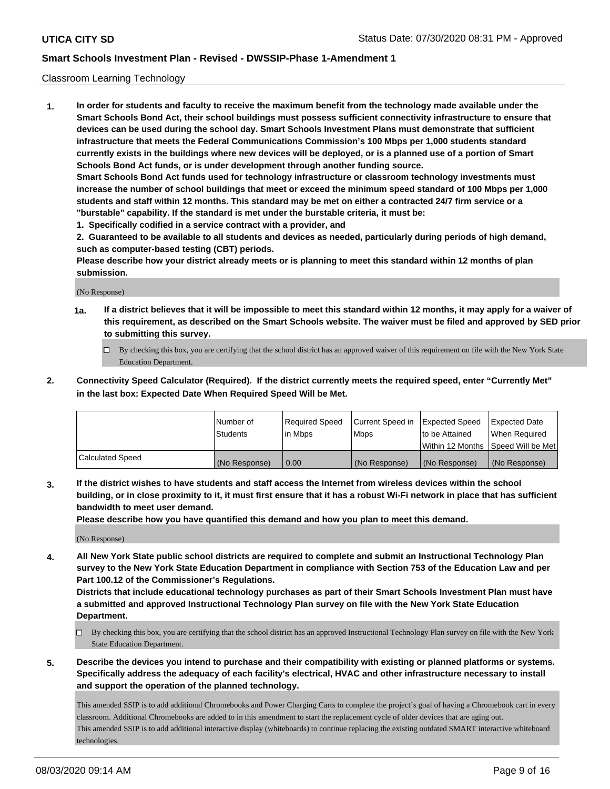### Classroom Learning Technology

**1. In order for students and faculty to receive the maximum benefit from the technology made available under the Smart Schools Bond Act, their school buildings must possess sufficient connectivity infrastructure to ensure that devices can be used during the school day. Smart Schools Investment Plans must demonstrate that sufficient infrastructure that meets the Federal Communications Commission's 100 Mbps per 1,000 students standard currently exists in the buildings where new devices will be deployed, or is a planned use of a portion of Smart Schools Bond Act funds, or is under development through another funding source. Smart Schools Bond Act funds used for technology infrastructure or classroom technology investments must increase the number of school buildings that meet or exceed the minimum speed standard of 100 Mbps per 1,000 students and staff within 12 months. This standard may be met on either a contracted 24/7 firm service or a**

- **"burstable" capability. If the standard is met under the burstable criteria, it must be:**
- **1. Specifically codified in a service contract with a provider, and**

**2. Guaranteed to be available to all students and devices as needed, particularly during periods of high demand, such as computer-based testing (CBT) periods.**

**Please describe how your district already meets or is planning to meet this standard within 12 months of plan submission.**

(No Response)

- **1a. If a district believes that it will be impossible to meet this standard within 12 months, it may apply for a waiver of this requirement, as described on the Smart Schools website. The waiver must be filed and approved by SED prior to submitting this survey.**
	- By checking this box, you are certifying that the school district has an approved waiver of this requirement on file with the New York State Education Department.
- **2. Connectivity Speed Calculator (Required). If the district currently meets the required speed, enter "Currently Met" in the last box: Expected Date When Required Speed Will be Met.**

|                  | l Number of     | Required Speed | Current Speed in | <b>Expected Speed</b> | <b>Expected Date</b>                |
|------------------|-----------------|----------------|------------------|-----------------------|-------------------------------------|
|                  | <b>Students</b> | l in Mbps      | l Mbps           | to be Attained        | When Required                       |
|                  |                 |                |                  |                       | Within 12 Months  Speed Will be Met |
| Calculated Speed | (No Response)   | 0.00           | (No Response)    | l (No Response)       | (No Response)                       |

**3. If the district wishes to have students and staff access the Internet from wireless devices within the school building, or in close proximity to it, it must first ensure that it has a robust Wi-Fi network in place that has sufficient bandwidth to meet user demand.**

**Please describe how you have quantified this demand and how you plan to meet this demand.**

(No Response)

**4. All New York State public school districts are required to complete and submit an Instructional Technology Plan survey to the New York State Education Department in compliance with Section 753 of the Education Law and per Part 100.12 of the Commissioner's Regulations.**

**Districts that include educational technology purchases as part of their Smart Schools Investment Plan must have a submitted and approved Instructional Technology Plan survey on file with the New York State Education Department.**

- By checking this box, you are certifying that the school district has an approved Instructional Technology Plan survey on file with the New York State Education Department.
- **5. Describe the devices you intend to purchase and their compatibility with existing or planned platforms or systems. Specifically address the adequacy of each facility's electrical, HVAC and other infrastructure necessary to install and support the operation of the planned technology.**

This amended SSIP is to add additional Chromebooks and Power Charging Carts to complete the project's goal of having a Chromebook cart in every classroom. Additional Chromebooks are added to in this amendment to start the replacement cycle of older devices that are aging out. This amended SSIP is to add additional interactive display (whiteboards) to continue replacing the existing outdated SMART interactive whiteboard technologies.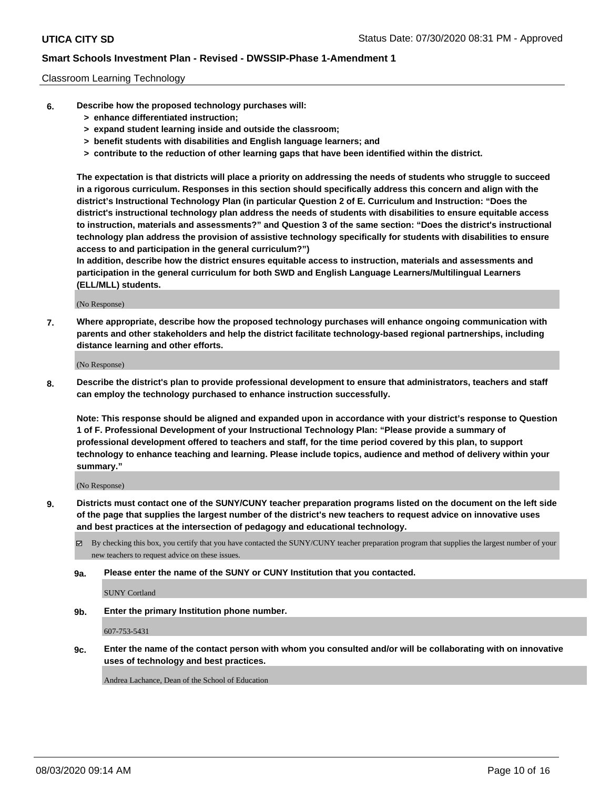### Classroom Learning Technology

- **6. Describe how the proposed technology purchases will:**
	- **> enhance differentiated instruction;**
	- **> expand student learning inside and outside the classroom;**
	- **> benefit students with disabilities and English language learners; and**
	- **> contribute to the reduction of other learning gaps that have been identified within the district.**

**The expectation is that districts will place a priority on addressing the needs of students who struggle to succeed in a rigorous curriculum. Responses in this section should specifically address this concern and align with the district's Instructional Technology Plan (in particular Question 2 of E. Curriculum and Instruction: "Does the district's instructional technology plan address the needs of students with disabilities to ensure equitable access to instruction, materials and assessments?" and Question 3 of the same section: "Does the district's instructional technology plan address the provision of assistive technology specifically for students with disabilities to ensure access to and participation in the general curriculum?")**

**In addition, describe how the district ensures equitable access to instruction, materials and assessments and participation in the general curriculum for both SWD and English Language Learners/Multilingual Learners (ELL/MLL) students.**

(No Response)

**7. Where appropriate, describe how the proposed technology purchases will enhance ongoing communication with parents and other stakeholders and help the district facilitate technology-based regional partnerships, including distance learning and other efforts.**

(No Response)

**8. Describe the district's plan to provide professional development to ensure that administrators, teachers and staff can employ the technology purchased to enhance instruction successfully.**

**Note: This response should be aligned and expanded upon in accordance with your district's response to Question 1 of F. Professional Development of your Instructional Technology Plan: "Please provide a summary of professional development offered to teachers and staff, for the time period covered by this plan, to support technology to enhance teaching and learning. Please include topics, audience and method of delivery within your summary."**

(No Response)

- **9. Districts must contact one of the SUNY/CUNY teacher preparation programs listed on the document on the left side of the page that supplies the largest number of the district's new teachers to request advice on innovative uses and best practices at the intersection of pedagogy and educational technology.**
	- By checking this box, you certify that you have contacted the SUNY/CUNY teacher preparation program that supplies the largest number of your new teachers to request advice on these issues.
	- **9a. Please enter the name of the SUNY or CUNY Institution that you contacted.**

SUNY Cortland

**9b. Enter the primary Institution phone number.**

607-753-5431

**9c. Enter the name of the contact person with whom you consulted and/or will be collaborating with on innovative uses of technology and best practices.**

Andrea Lachance, Dean of the School of Education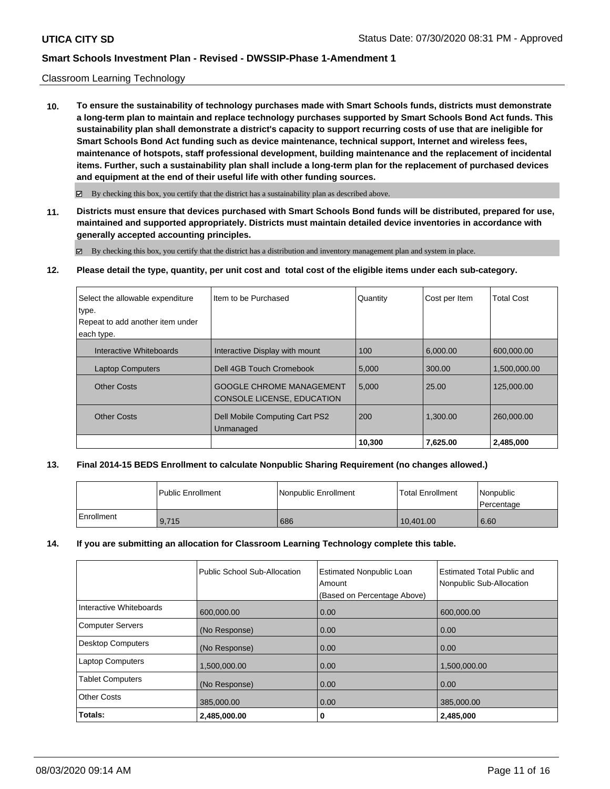### Classroom Learning Technology

**10. To ensure the sustainability of technology purchases made with Smart Schools funds, districts must demonstrate a long-term plan to maintain and replace technology purchases supported by Smart Schools Bond Act funds. This sustainability plan shall demonstrate a district's capacity to support recurring costs of use that are ineligible for Smart Schools Bond Act funding such as device maintenance, technical support, Internet and wireless fees, maintenance of hotspots, staff professional development, building maintenance and the replacement of incidental items. Further, such a sustainability plan shall include a long-term plan for the replacement of purchased devices and equipment at the end of their useful life with other funding sources.**

 $\boxtimes$  By checking this box, you certify that the district has a sustainability plan as described above.

**11. Districts must ensure that devices purchased with Smart Schools Bond funds will be distributed, prepared for use, maintained and supported appropriately. Districts must maintain detailed device inventories in accordance with generally accepted accounting principles.**

By checking this box, you certify that the district has a distribution and inventory management plan and system in place.

**12. Please detail the type, quantity, per unit cost and total cost of the eligible items under each sub-category.**

| Select the allowable expenditure | I Item to be Purchased                                        | Quantity | Cost per Item | <b>Total Cost</b> |
|----------------------------------|---------------------------------------------------------------|----------|---------------|-------------------|
| type.                            |                                                               |          |               |                   |
| Repeat to add another item under |                                                               |          |               |                   |
| each type.                       |                                                               |          |               |                   |
| Interactive Whiteboards          | Interactive Display with mount                                | 100      | 6.000.00      | 600.000.00        |
| <b>Laptop Computers</b>          | Dell 4GB Touch Cromebook                                      | 5,000    | 300.00        | 1,500,000.00      |
| <b>Other Costs</b>               | <b>GOOGLE CHROME MANAGEMENT</b><br>CONSOLE LICENSE, EDUCATION | 5,000    | 25.00         | 125,000.00        |
| <b>Other Costs</b>               | Dell Mobile Computing Cart PS2<br>Unmanaged                   | 200      | 1.300.00      | 260.000.00        |
|                                  |                                                               | 10,300   | 7.625.00      | 2,485,000         |

### **13. Final 2014-15 BEDS Enrollment to calculate Nonpublic Sharing Requirement (no changes allowed.)**

|            | l Public Enrollment | Nonpublic Enrollment | <b>Total Enrollment</b> | Nonpublic<br>Percentage |
|------------|---------------------|----------------------|-------------------------|-------------------------|
| Enrollment | 9.715               | 686                  | 10.401.00               | 6.60                    |

### **14. If you are submitting an allocation for Classroom Learning Technology complete this table.**

|                         | Public School Sub-Allocation | <b>Estimated Nonpublic Loan</b><br>Amount<br>(Based on Percentage Above) | Estimated Total Public and<br>Nonpublic Sub-Allocation |
|-------------------------|------------------------------|--------------------------------------------------------------------------|--------------------------------------------------------|
| Interactive Whiteboards | 600,000.00                   | 0.00                                                                     | 600,000.00                                             |
| Computer Servers        | (No Response)                | 0.00                                                                     | 0.00                                                   |
| Desktop Computers       | (No Response)                | 0.00                                                                     | 0.00                                                   |
| Laptop Computers        | 1,500,000.00                 | 0.00                                                                     | 1,500,000.00                                           |
| <b>Tablet Computers</b> | (No Response)                | 0.00                                                                     | 0.00                                                   |
| <b>Other Costs</b>      | 385,000.00                   | 0.00                                                                     | 385,000.00                                             |
| Totals:                 | 2,485,000.00                 | 0                                                                        | 2,485,000                                              |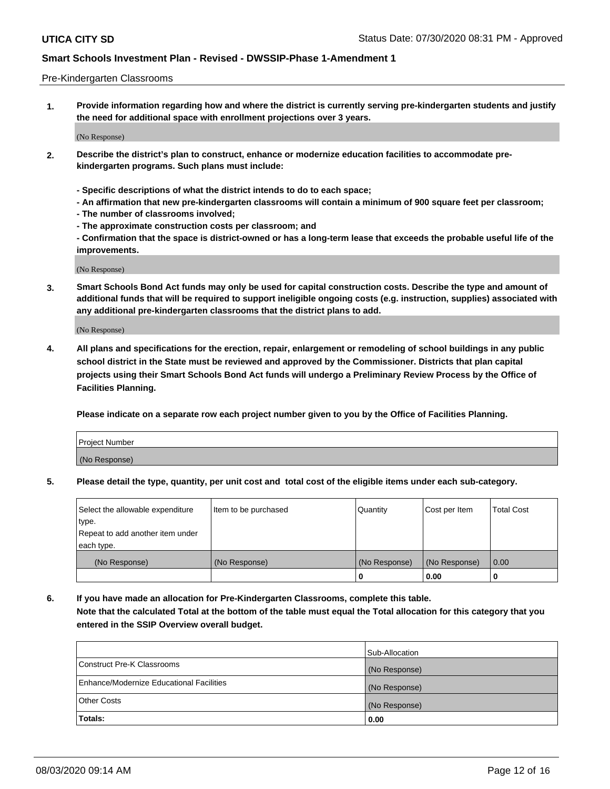#### Pre-Kindergarten Classrooms

**1. Provide information regarding how and where the district is currently serving pre-kindergarten students and justify the need for additional space with enrollment projections over 3 years.**

(No Response)

- **2. Describe the district's plan to construct, enhance or modernize education facilities to accommodate prekindergarten programs. Such plans must include:**
	- **Specific descriptions of what the district intends to do to each space;**
	- **An affirmation that new pre-kindergarten classrooms will contain a minimum of 900 square feet per classroom;**
	- **The number of classrooms involved;**
	- **The approximate construction costs per classroom; and**
	- **Confirmation that the space is district-owned or has a long-term lease that exceeds the probable useful life of the improvements.**

(No Response)

**3. Smart Schools Bond Act funds may only be used for capital construction costs. Describe the type and amount of additional funds that will be required to support ineligible ongoing costs (e.g. instruction, supplies) associated with any additional pre-kindergarten classrooms that the district plans to add.**

(No Response)

**4. All plans and specifications for the erection, repair, enlargement or remodeling of school buildings in any public school district in the State must be reviewed and approved by the Commissioner. Districts that plan capital projects using their Smart Schools Bond Act funds will undergo a Preliminary Review Process by the Office of Facilities Planning.**

**Please indicate on a separate row each project number given to you by the Office of Facilities Planning.**

| Project Number |  |
|----------------|--|
| (No Response)  |  |
|                |  |

**5. Please detail the type, quantity, per unit cost and total cost of the eligible items under each sub-category.**

| Select the allowable expenditure | Item to be purchased | Quantity      | Cost per Item | <b>Total Cost</b> |
|----------------------------------|----------------------|---------------|---------------|-------------------|
| type.                            |                      |               |               |                   |
| Repeat to add another item under |                      |               |               |                   |
| each type.                       |                      |               |               |                   |
| (No Response)                    | (No Response)        | (No Response) | (No Response) | 0.00              |
|                                  |                      | U             | 0.00          |                   |

**6. If you have made an allocation for Pre-Kindergarten Classrooms, complete this table. Note that the calculated Total at the bottom of the table must equal the Total allocation for this category that you entered in the SSIP Overview overall budget.**

|                                          | Sub-Allocation |
|------------------------------------------|----------------|
| Construct Pre-K Classrooms               | (No Response)  |
| Enhance/Modernize Educational Facilities | (No Response)  |
| <b>Other Costs</b>                       | (No Response)  |
| Totals:                                  | 0.00           |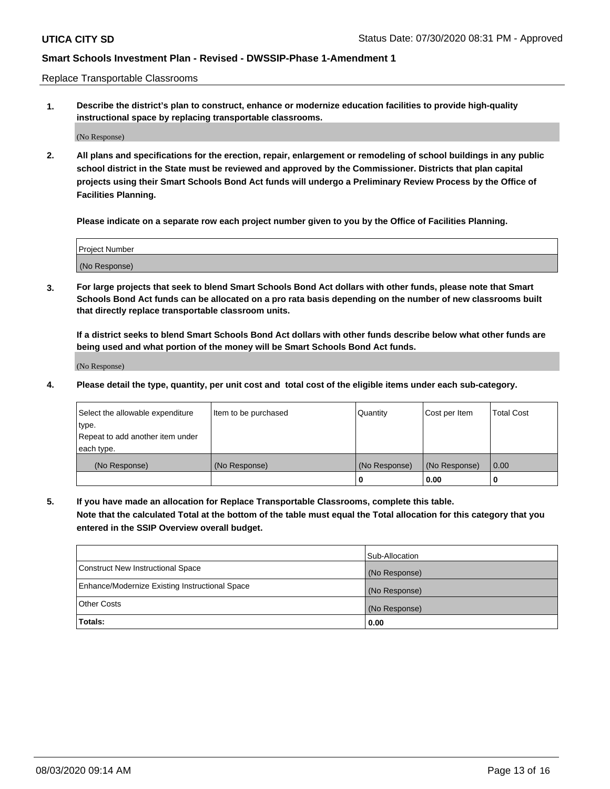Replace Transportable Classrooms

**1. Describe the district's plan to construct, enhance or modernize education facilities to provide high-quality instructional space by replacing transportable classrooms.**

(No Response)

**2. All plans and specifications for the erection, repair, enlargement or remodeling of school buildings in any public school district in the State must be reviewed and approved by the Commissioner. Districts that plan capital projects using their Smart Schools Bond Act funds will undergo a Preliminary Review Process by the Office of Facilities Planning.**

**Please indicate on a separate row each project number given to you by the Office of Facilities Planning.**

| Project Number |  |
|----------------|--|
|                |  |
|                |  |
|                |  |
| (No Response)  |  |
|                |  |
|                |  |

**3. For large projects that seek to blend Smart Schools Bond Act dollars with other funds, please note that Smart Schools Bond Act funds can be allocated on a pro rata basis depending on the number of new classrooms built that directly replace transportable classroom units.**

**If a district seeks to blend Smart Schools Bond Act dollars with other funds describe below what other funds are being used and what portion of the money will be Smart Schools Bond Act funds.**

(No Response)

**4. Please detail the type, quantity, per unit cost and total cost of the eligible items under each sub-category.**

| Select the allowable expenditure | Item to be purchased | Quantity      | Cost per Item | Total Cost |
|----------------------------------|----------------------|---------------|---------------|------------|
| ∣type.                           |                      |               |               |            |
| Repeat to add another item under |                      |               |               |            |
| each type.                       |                      |               |               |            |
| (No Response)                    | (No Response)        | (No Response) | (No Response) | 0.00       |
|                                  |                      | u             | 0.00          |            |

**5. If you have made an allocation for Replace Transportable Classrooms, complete this table. Note that the calculated Total at the bottom of the table must equal the Total allocation for this category that you entered in the SSIP Overview overall budget.**

|                                                | Sub-Allocation |
|------------------------------------------------|----------------|
| Construct New Instructional Space              | (No Response)  |
| Enhance/Modernize Existing Instructional Space | (No Response)  |
| Other Costs                                    | (No Response)  |
| Totals:                                        | 0.00           |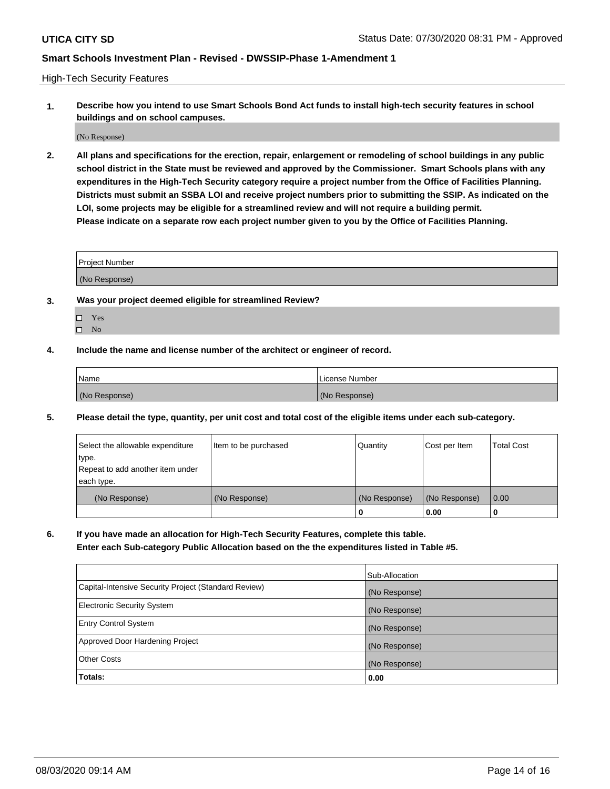High-Tech Security Features

**1. Describe how you intend to use Smart Schools Bond Act funds to install high-tech security features in school buildings and on school campuses.**

(No Response)

**2. All plans and specifications for the erection, repair, enlargement or remodeling of school buildings in any public school district in the State must be reviewed and approved by the Commissioner. Smart Schools plans with any expenditures in the High-Tech Security category require a project number from the Office of Facilities Planning. Districts must submit an SSBA LOI and receive project numbers prior to submitting the SSIP. As indicated on the LOI, some projects may be eligible for a streamlined review and will not require a building permit. Please indicate on a separate row each project number given to you by the Office of Facilities Planning.**

| <b>Project Number</b> |  |
|-----------------------|--|
| (No Response)         |  |

- **3. Was your project deemed eligible for streamlined Review?**
	- Yes
	- $\hfill \square$  No
- **4. Include the name and license number of the architect or engineer of record.**

| Name          | License Number |
|---------------|----------------|
| (No Response) | (No Response)  |

**5. Please detail the type, quantity, per unit cost and total cost of the eligible items under each sub-category.**

| Select the allowable expenditure | Item to be purchased | Quantity      | Cost per Item | <b>Total Cost</b> |
|----------------------------------|----------------------|---------------|---------------|-------------------|
| type.                            |                      |               |               |                   |
| Repeat to add another item under |                      |               |               |                   |
| each type.                       |                      |               |               |                   |
| (No Response)                    | (No Response)        | (No Response) | (No Response) | 0.00              |
|                                  |                      | 0             | 0.00          |                   |

**6. If you have made an allocation for High-Tech Security Features, complete this table.**

**Enter each Sub-category Public Allocation based on the the expenditures listed in Table #5.**

|                                                      | Sub-Allocation |
|------------------------------------------------------|----------------|
| Capital-Intensive Security Project (Standard Review) | (No Response)  |
| <b>Electronic Security System</b>                    | (No Response)  |
| <b>Entry Control System</b>                          | (No Response)  |
| Approved Door Hardening Project                      | (No Response)  |
| <b>Other Costs</b>                                   | (No Response)  |
| Totals:                                              | 0.00           |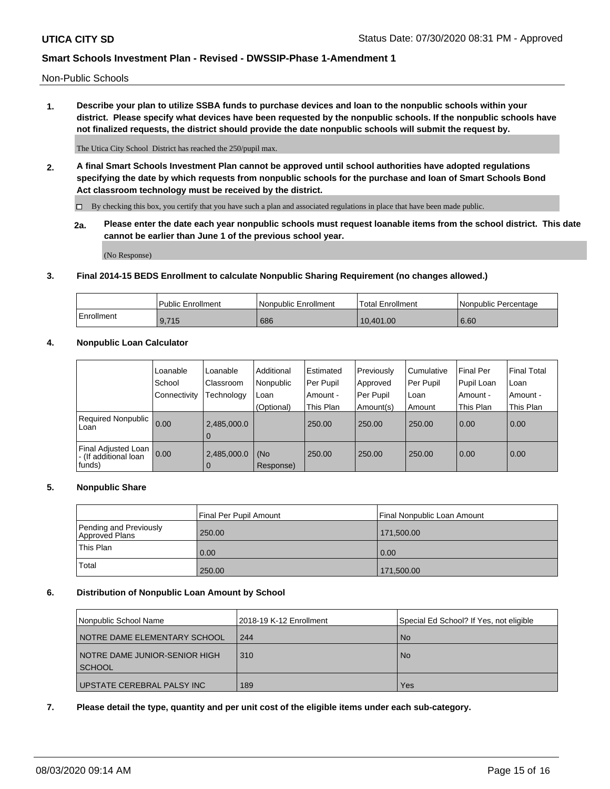Non-Public Schools

**1. Describe your plan to utilize SSBA funds to purchase devices and loan to the nonpublic schools within your district. Please specify what devices have been requested by the nonpublic schools. If the nonpublic schools have not finalized requests, the district should provide the date nonpublic schools will submit the request by.**

The Utica City School District has reached the 250/pupil max.

**2. A final Smart Schools Investment Plan cannot be approved until school authorities have adopted regulations specifying the date by which requests from nonpublic schools for the purchase and loan of Smart Schools Bond Act classroom technology must be received by the district.**

By checking this box, you certify that you have such a plan and associated regulations in place that have been made public.

**2a. Please enter the date each year nonpublic schools must request loanable items from the school district. This date cannot be earlier than June 1 of the previous school year.**

(No Response)

## **3. Final 2014-15 BEDS Enrollment to calculate Nonpublic Sharing Requirement (no changes allowed.)**

|            | Public Enrollment | Nonpublic Enrollment | 'Total Enrollment | l Nonpublic Percentage |
|------------|-------------------|----------------------|-------------------|------------------------|
| Enrollment | 9,715             | 686                  | 10.401.00         | 6.60                   |

## **4. Nonpublic Loan Calculator**

|                                                        | Loanable     | Loanable                      | Additional       | Estimated | Previously | Cumulative | <b>Final Per</b> | <b>Final Total</b> |
|--------------------------------------------------------|--------------|-------------------------------|------------------|-----------|------------|------------|------------------|--------------------|
|                                                        | School       | Classroom                     | Nonpublic        | Per Pupil | Approved   | Per Pupil  | Pupil Loan       | Loan               |
|                                                        | Connectivity | Technology                    | Loan             | Amount -  | Per Pupil  | Loan       | Amount -         | Amount -           |
|                                                        |              |                               | (Optional)       | This Plan | Amount(s)  | Amount     | This Plan        | This Plan          |
| Required Nonpublic<br>Loan                             | 0.00         | 2,485,000.0<br>l 0            |                  | 250.00    | 250.00     | 250.00     | 0.00             | 0.00               |
| Final Adjusted Loan<br>- (If additional loan<br>funds) | 0.00         | 2,485,000.0<br>$\overline{0}$ | (No<br>Response) | 250.00    | 250.00     | 250.00     | 0.00             | 0.00               |

### **5. Nonpublic Share**

|                                          | Final Per Pupil Amount | Final Nonpublic Loan Amount |
|------------------------------------------|------------------------|-----------------------------|
| Pending and Previously<br>Approved Plans | 250.00                 | 171,500.00                  |
| <b>This Plan</b>                         | 0.00                   | 0.00                        |
| Total                                    | 250.00                 | 171,500.00                  |

### **6. Distribution of Nonpublic Loan Amount by School**

| Nonpublic School Name         | 2018-19 K-12 Enrollment | Special Ed School? If Yes, not eligible |
|-------------------------------|-------------------------|-----------------------------------------|
| NOTRE DAME ELEMENTARY SCHOOL  | 244                     | <b>No</b>                               |
| NOTRE DAME JUNIOR-SENIOR HIGH | 310                     | <b>No</b>                               |
| <b>SCHOOL</b>                 |                         |                                         |
| UPSTATE CEREBRAL PALSY INC    | 189                     | Yes                                     |

### **7. Please detail the type, quantity and per unit cost of the eligible items under each sub-category.**